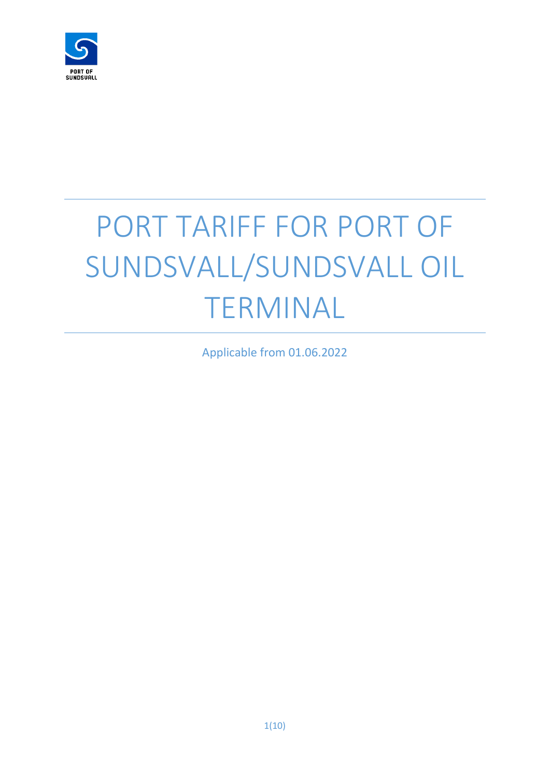

# PORT TARIFF FOR PORT OF SUNDSVALL/SUNDSVALL OIL TERMINAL

Applicable from 01.06.2022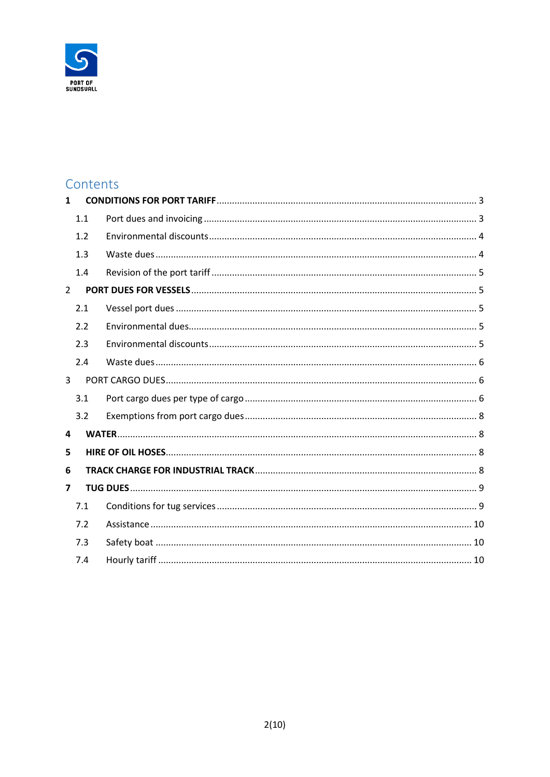

# Contents

| 1              |     |  |
|----------------|-----|--|
|                | 1.1 |  |
|                | 1.2 |  |
|                | 1.3 |  |
|                | 1.4 |  |
| $\overline{2}$ |     |  |
|                | 2.1 |  |
|                | 2.2 |  |
|                | 2.3 |  |
|                | 2.4 |  |
| 3              |     |  |
|                | 3.1 |  |
|                | 3.2 |  |
| 4              |     |  |
| 5              |     |  |
| 6              |     |  |
| 7              |     |  |
|                | 7.1 |  |
|                | 7.2 |  |
|                | 7.3 |  |
|                | 7.4 |  |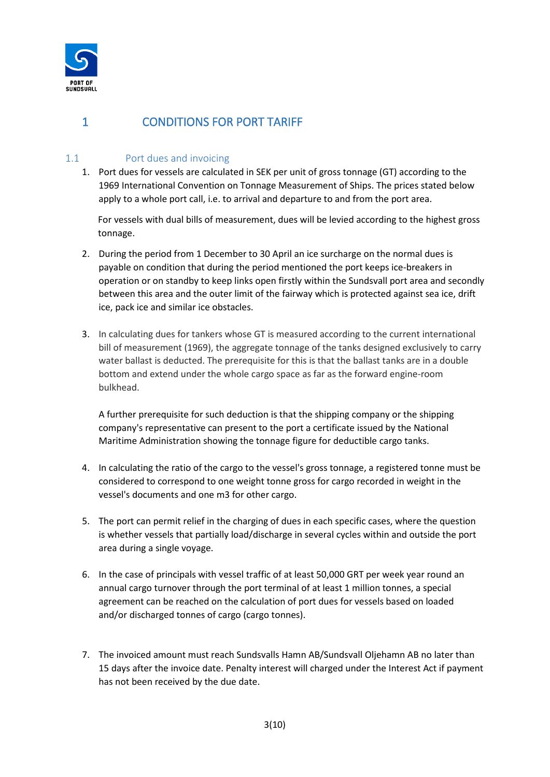

# <span id="page-2-0"></span>1 CONDITIONS FOR PORT TARIFF

## <span id="page-2-1"></span>1.1 Port dues and invoicing

1. Port dues for vessels are calculated in SEK per unit of gross tonnage (GT) according to the 1969 International Convention on Tonnage Measurement of Ships. The prices stated below apply to a whole port call, i.e. to arrival and departure to and from the port area.

For vessels with dual bills of measurement, dues will be levied according to the highest gross tonnage.

- 2. During the period from 1 December to 30 April an ice surcharge on the normal dues is payable on condition that during the period mentioned the port keeps ice-breakers in operation or on standby to keep links open firstly within the Sundsvall port area and secondly between this area and the outer limit of the fairway which is protected against sea ice, drift ice, pack ice and similar ice obstacles.
- 3. In calculating dues for tankers whose GT is measured according to the current international bill of measurement (1969), the aggregate tonnage of the tanks designed exclusively to carry water ballast is deducted. The prerequisite for this is that the ballast tanks are in a double bottom and extend under the whole cargo space as far as the forward engine-room bulkhead.

A further prerequisite for such deduction is that the shipping company or the shipping company's representative can present to the port a certificate issued by the National Maritime Administration showing the tonnage figure for deductible cargo tanks.

- 4. In calculating the ratio of the cargo to the vessel's gross tonnage, a registered tonne must be considered to correspond to one weight tonne gross for cargo recorded in weight in the vessel's documents and one m3 for other cargo.
- 5. The port can permit relief in the charging of dues in each specific cases, where the question is whether vessels that partially load/discharge in several cycles within and outside the port area during a single voyage.
- 6. In the case of principals with vessel traffic of at least 50,000 GRT per week year round an annual cargo turnover through the port terminal of at least 1 million tonnes, a special agreement can be reached on the calculation of port dues for vessels based on loaded and/or discharged tonnes of cargo (cargo tonnes).
- 7. The invoiced amount must reach Sundsvalls Hamn AB/Sundsvall Oljehamn AB no later than 15 days after the invoice date. Penalty interest will charged under the Interest Act if payment has not been received by the due date.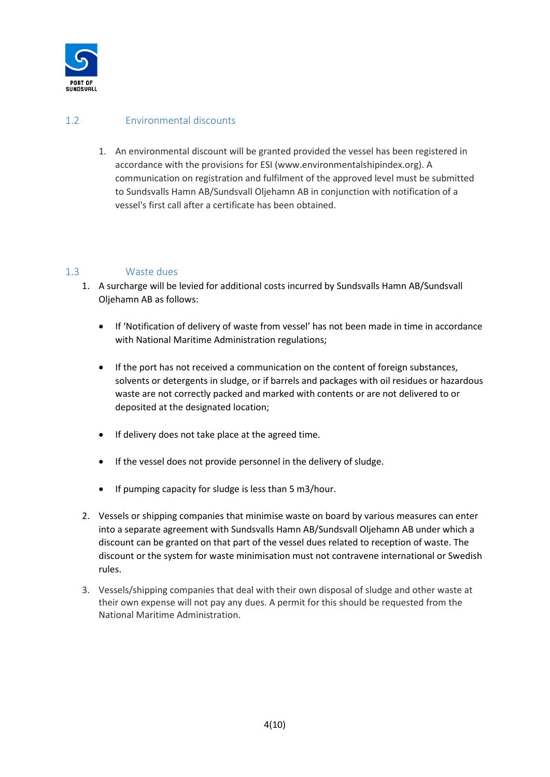

## <span id="page-3-0"></span>1.2 Environmental discounts

1. An environmental discount will be granted provided the vessel has been registered in accordance with the provisions for ESI (www.environmentalshipindex.org). A communication on registration and fulfilment of the approved level must be submitted to Sundsvalls Hamn AB/Sundsvall Oljehamn AB in conjunction with notification of a vessel's first call after a certificate has been obtained.

## <span id="page-3-1"></span>1.3 Waste dues

- 1. A surcharge will be levied for additional costs incurred by Sundsvalls Hamn AB/Sundsvall Oljehamn AB as follows:
	- If 'Notification of delivery of waste from vessel' has not been made in time in accordance with National Maritime Administration regulations;
	- If the port has not received a communication on the content of foreign substances, solvents or detergents in sludge, or if barrels and packages with oil residues or hazardous waste are not correctly packed and marked with contents or are not delivered to or deposited at the designated location;
	- If delivery does not take place at the agreed time.
	- If the vessel does not provide personnel in the delivery of sludge.
	- If pumping capacity for sludge is less than 5 m3/hour.
- 2. Vessels or shipping companies that minimise waste on board by various measures can enter into a separate agreement with Sundsvalls Hamn AB/Sundsvall Oljehamn AB under which a discount can be granted on that part of the vessel dues related to reception of waste. The discount or the system for waste minimisation must not contravene international or Swedish rules.
- 3. Vessels/shipping companies that deal with their own disposal of sludge and other waste at their own expense will not pay any dues. A permit for this should be requested from the National Maritime Administration.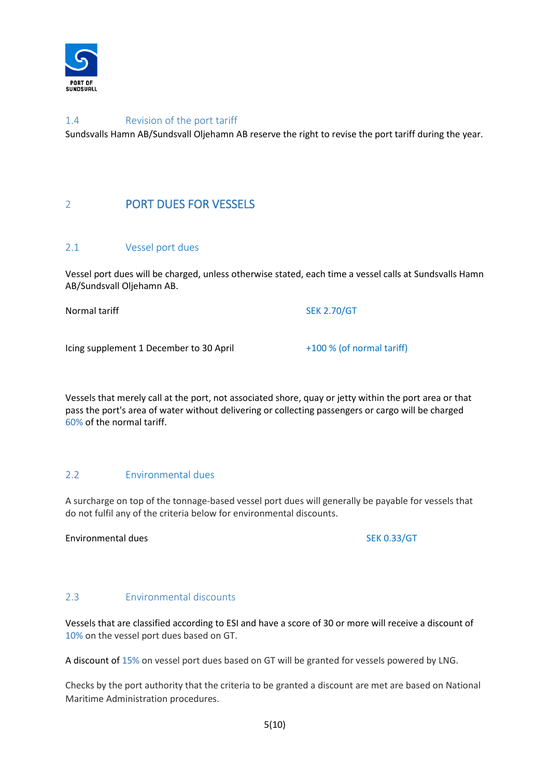

## <span id="page-4-0"></span>1.4 Revision of the port tariff

Sundsvalls Hamn AB/Sundsvall Oljehamn AB reserve the right to revise the port tariff during the year.

# <span id="page-4-1"></span>2 PORT DUES FOR VESSELS

#### <span id="page-4-2"></span>2.1 Vessel port dues

Vessel port dues will be charged, unless otherwise stated, each time a vessel calls at Sundsvalls Hamn AB/Sundsvall Oljehamn AB.

Normal tariff SEK 2.70/GT

Icing supplement 1 December to 30 April  $+100 %$  (of normal tariff)

Vessels that merely call at the port, not associated shore, quay or jetty within the port area or that pass the port's area of water without delivering or collecting passengers or cargo will be charged 60% of the normal tariff.

#### <span id="page-4-3"></span>2.2 Environmental dues

A surcharge on top of the tonnage-based vessel port dues will generally be payable for vessels that do not fulfil any of the criteria below for environmental discounts.

Environmental dues SEK 0.33/GT

#### <span id="page-4-4"></span>2.3 Environmental discounts

Vessels that are classified according to ESI and have a score of 30 or more will receive a discount of 10% on the vessel port dues based on GT.

A discount of 15% on vessel port dues based on GT will be granted for vessels powered by LNG.

Checks by the port authority that the criteria to be granted a discount are met are based on National Maritime Administration procedures.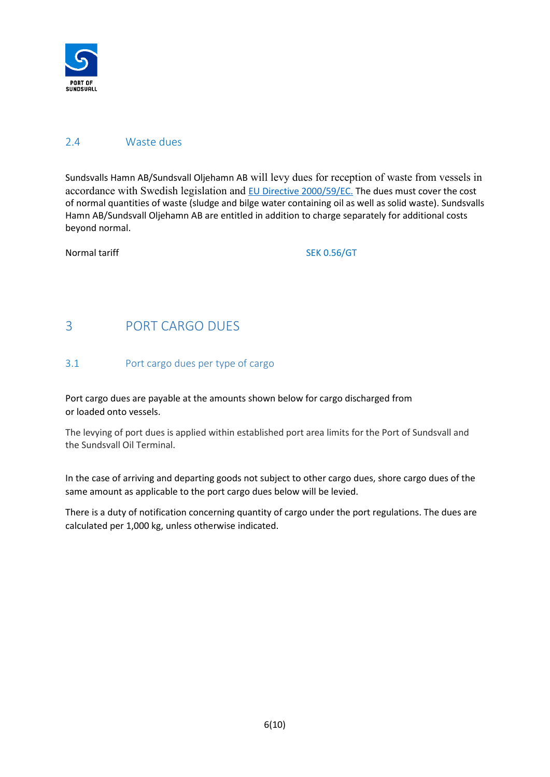

## <span id="page-5-0"></span>2.4 Waste dues

Sundsvalls Hamn AB/Sundsvall Oljehamn AB will levy dues for reception of waste from vessels in accordance with Swedish legislation and [EU Directive 2000/59/EC.](https://www.transportstyrelsen.se/sv/sjofart/Miljo-och-halsa/Avfallshantering/Mottagning-av-avfall-i-hamn--hamnens-skyldigheter/) The dues must cover the cost of normal quantities of waste (sludge and bilge water containing oil as well as solid waste). Sundsvalls Hamn AB/Sundsvall Oljehamn AB are entitled in addition to charge separately for additional costs beyond normal.

Normal tariff SEK 0.56/GT

# <span id="page-5-1"></span>3 PORT CARGO DUES

#### <span id="page-5-2"></span>3.1 Port cargo dues per type of cargo

Port cargo dues are payable at the amounts shown below for cargo discharged from or loaded onto vessels.

The levying of port dues is applied within established port area limits for the Port of Sundsvall and the Sundsvall Oil Terminal.

In the case of arriving and departing goods not subject to other cargo dues, shore cargo dues of the same amount as applicable to the port cargo dues below will be levied.

There is a duty of notification concerning quantity of cargo under the port regulations. The dues are calculated per 1,000 kg, unless otherwise indicated.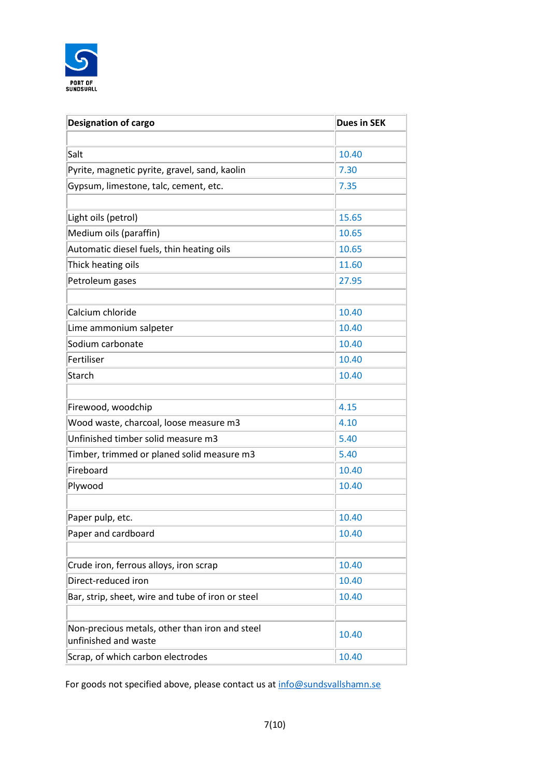

| <b>Designation of cargo</b>                                            | <b>Dues in SEK</b> |
|------------------------------------------------------------------------|--------------------|
|                                                                        |                    |
| Salt                                                                   | 10.40              |
| Pyrite, magnetic pyrite, gravel, sand, kaolin                          | 7.30               |
| Gypsum, limestone, talc, cement, etc.                                  | 7.35               |
|                                                                        |                    |
| Light oils (petrol)                                                    | 15.65              |
| Medium oils (paraffin)                                                 | 10.65              |
| Automatic diesel fuels, thin heating oils                              | 10.65              |
| Thick heating oils                                                     | 11.60              |
| Petroleum gases                                                        | 27.95              |
|                                                                        |                    |
| Calcium chloride                                                       | 10.40              |
| Lime ammonium salpeter                                                 | 10.40              |
| Sodium carbonate                                                       | 10.40              |
| Fertiliser                                                             | 10.40              |
| Starch                                                                 | 10.40              |
|                                                                        |                    |
| Firewood, woodchip                                                     | 4.15               |
| Wood waste, charcoal, loose measure m3                                 | 4.10               |
| Unfinished timber solid measure m3                                     | 5.40               |
| Timber, trimmed or planed solid measure m3                             | 5.40               |
| Fireboard                                                              | 10.40              |
| Plywood                                                                | 10.40              |
|                                                                        |                    |
| Paper pulp, etc.                                                       | 10.40              |
| Paper and cardboard                                                    | 10.40              |
|                                                                        |                    |
| Crude iron, ferrous alloys, iron scrap                                 | 10.40              |
| Direct-reduced iron                                                    | 10.40              |
| Bar, strip, sheet, wire and tube of iron or steel                      | 10.40              |
|                                                                        |                    |
| Non-precious metals, other than iron and steel<br>unfinished and waste | 10.40              |
| Scrap, of which carbon electrodes                                      | 10.40              |

For goods not specified above, please contact us at [info@sundsvallshamn.se](mailto:info@sundsvallshamn.se)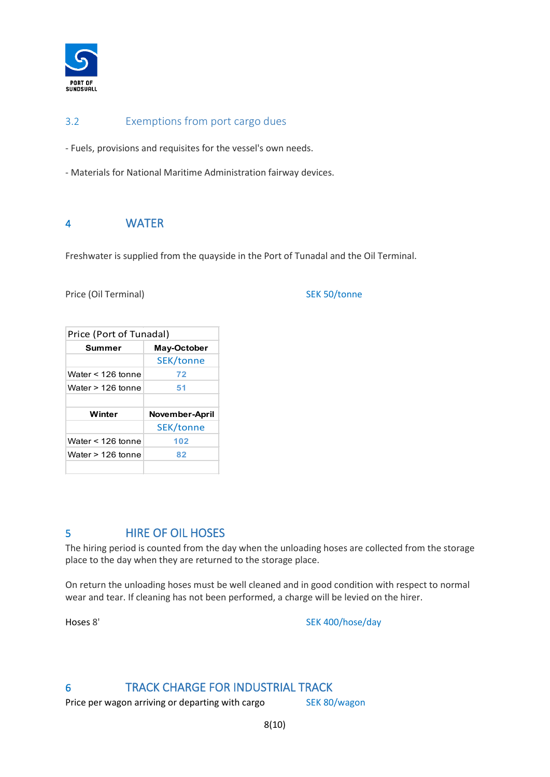

## <span id="page-7-0"></span>3.2 Exemptions from port cargo dues

- Fuels, provisions and requisites for the vessel's own needs.

- Materials for National Maritime Administration fairway devices.

## <span id="page-7-1"></span>4 WATER

Freshwater is supplied from the quayside in the Port of Tunadal and the Oil Terminal.

Price (Oil Terminal) SEK 50/tonne

| Price (Port of Tunadal) |                       |  |  |
|-------------------------|-----------------------|--|--|
| Summer                  | May-October           |  |  |
|                         | <b>SEK/tonne</b>      |  |  |
| Water $<$ 126 tonne     | 72                    |  |  |
| Water > 126 tonne       | 51                    |  |  |
|                         |                       |  |  |
|                         |                       |  |  |
| Winter                  | <b>November-April</b> |  |  |
|                         | <b>SEK/tonne</b>      |  |  |
| Water $<$ 126 tonne     | 102                   |  |  |
| Water > 126 tonne       | 82                    |  |  |

# <span id="page-7-2"></span>5 HIRE OF OIL HOSES

The hiring period is counted from the day when the unloading hoses are collected from the storage place to the day when they are returned to the storage place.

On return the unloading hoses must be well cleaned and in good condition with respect to normal wear and tear. If cleaning has not been performed, a charge will be levied on the hirer.

Hoses 8' SEK 400/hose/day

# <span id="page-7-3"></span>6 TRACK CHARGE FOR INDUSTRIAL TRACK

Price per wagon arriving or departing with cargo SEK 80/wagon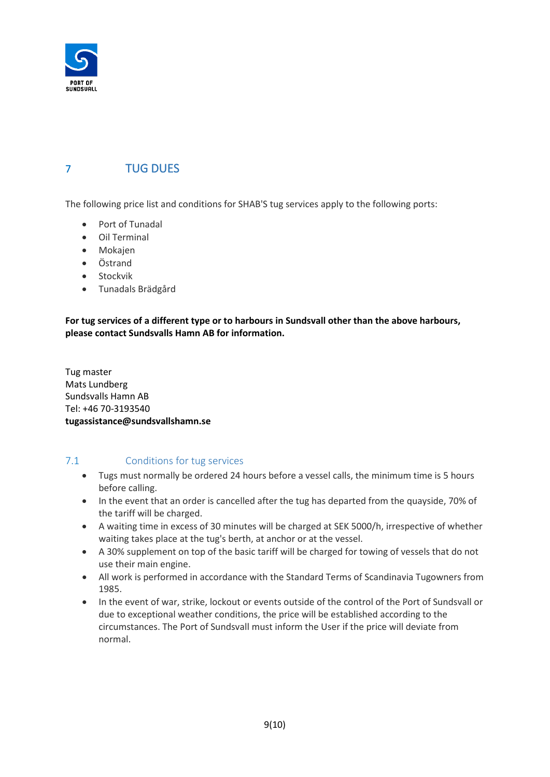

# <span id="page-8-0"></span>7 TUG DUES

The following price list and conditions for SHAB'S tug services apply to the following ports:

- Port of Tunadal
- Oil Terminal
- Mokajen
- Östrand
- Stockvik
- Tunadals Brädgård

**For tug services of a different type or to harbours in Sundsvall other than the above harbours, please contact Sundsvalls Hamn AB for information.**

Tug master Mats Lundberg Sundsvalls Hamn AB Tel: +46 70-3193540 **tugassistance@sundsvallshamn.se**

## <span id="page-8-1"></span>7.1 Conditions for tug services

- Tugs must normally be ordered 24 hours before a vessel calls, the minimum time is 5 hours before calling.
- In the event that an order is cancelled after the tug has departed from the quayside, 70% of the tariff will be charged.
- A waiting time in excess of 30 minutes will be charged at SEK 5000/h, irrespective of whether waiting takes place at the tug's berth, at anchor or at the vessel.
- A 30% supplement on top of the basic tariff will be charged for towing of vessels that do not use their main engine.
- All work is performed in accordance with the Standard Terms of Scandinavia Tugowners from 1985.
- In the event of war, strike, lockout or events outside of the control of the Port of Sundsvall or due to exceptional weather conditions, the price will be established according to the circumstances. The Port of Sundsvall must inform the User if the price will deviate from normal.